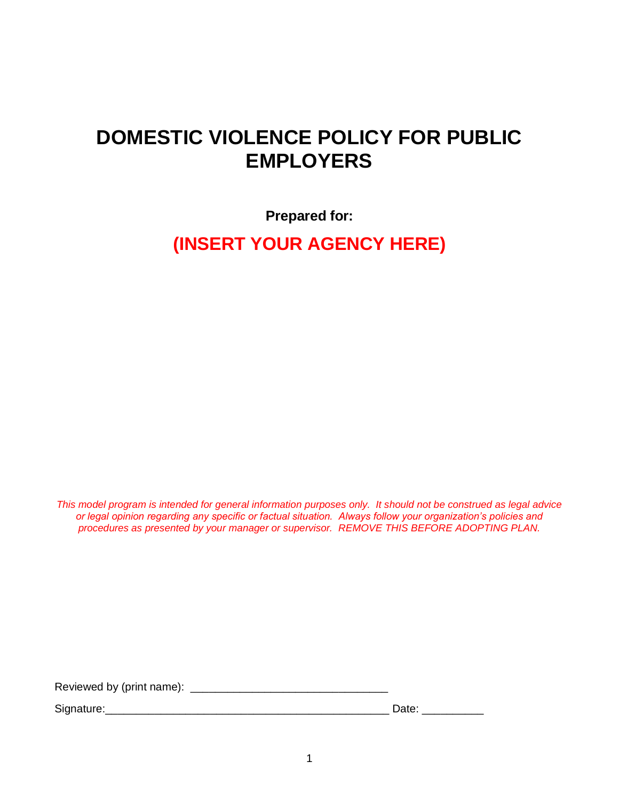# **DOMESTIC VIOLENCE POLICY FOR PUBLIC EMPLOYERS**

**Prepared for:**

**(INSERT YOUR AGENCY HERE)**

*This model program is intended for general information purposes only. It should not be construed as legal advice or legal opinion regarding any specific or factual situation. Always follow your organization's policies and procedures as presented by your manager or supervisor. REMOVE THIS BEFORE ADOPTING PLAN.*

Reviewed by (print name): \_\_\_\_\_\_\_\_\_\_\_\_\_\_\_\_\_\_\_\_\_\_\_\_\_\_\_\_\_\_\_\_

Signature:\_\_\_\_\_\_\_\_\_\_\_\_\_\_\_\_\_\_\_\_\_\_\_\_\_\_\_\_\_\_\_\_\_\_\_\_\_\_\_\_\_\_\_\_\_\_ Date: \_\_\_\_\_\_\_\_\_\_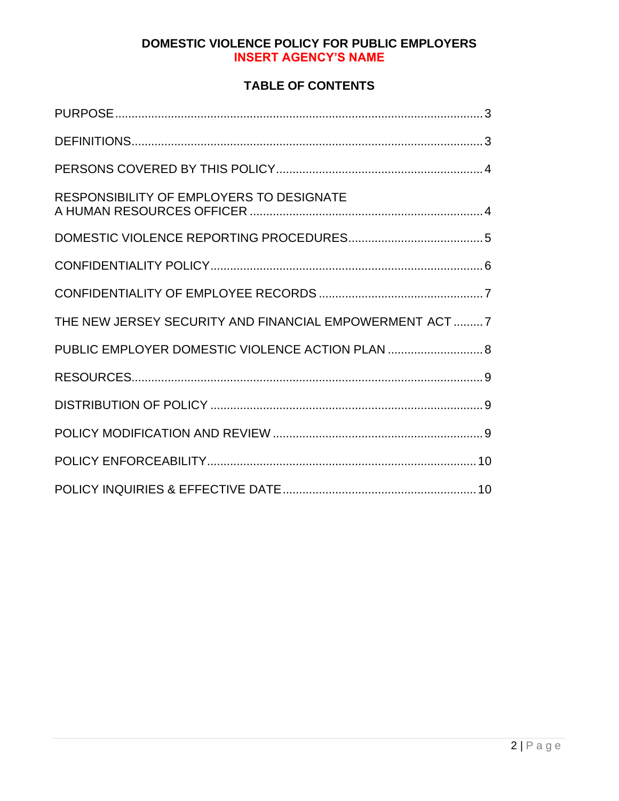## **TABLE OF CONTENTS**

| RESPONSIBILITY OF EMPLOYERS TO DESIGNATE               |  |
|--------------------------------------------------------|--|
|                                                        |  |
|                                                        |  |
|                                                        |  |
| THE NEW JERSEY SECURITY AND FINANCIAL EMPOWERMENT ACT7 |  |
| PUBLIC EMPLOYER DOMESTIC VIOLENCE ACTION PLAN  8       |  |
|                                                        |  |
|                                                        |  |
|                                                        |  |
|                                                        |  |
|                                                        |  |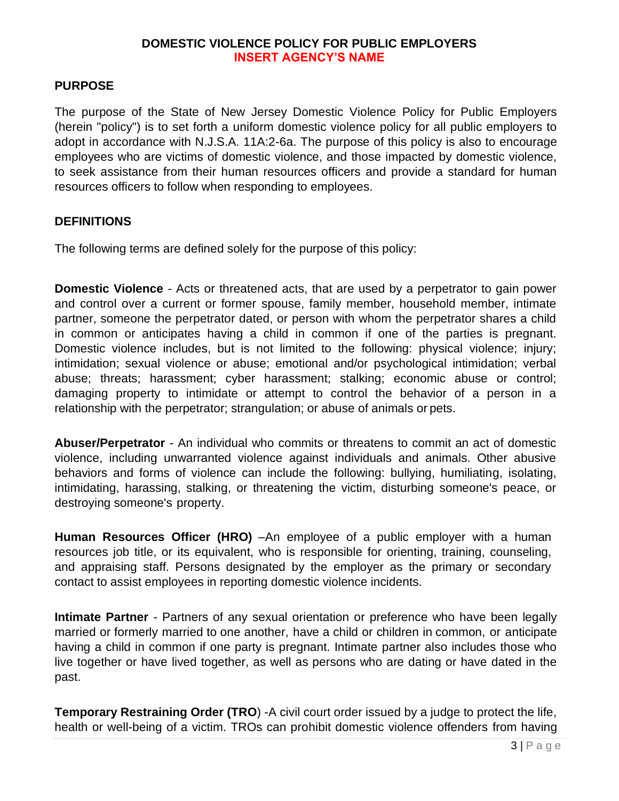#### <span id="page-2-0"></span>**PURPOSE**

The purpose of the State of New Jersey Domestic Violence Policy for Public Employers (herein "policy") is to set forth a uniform domestic violence policy for all public employers to adopt in accordance with N.J.S.A. 11A:2-6a. The purpose of this policy is also to encourage employees who are victims of domestic violence, and those impacted by domestic violence, to seek assistance from their human resources officers and provide a standard for human resources officers to follow when responding to employees.

#### <span id="page-2-1"></span>**DEFINITIONS**

The following terms are defined solely for the purpose of this policy:

**Domestic Violence** - Acts or threatened acts, that are used by a perpetrator to gain power and control over a current or former spouse, family member, household member, intimate partner, someone the perpetrator dated, or person with whom the perpetrator shares a child in common or anticipates having a child in common if one of the parties is pregnant. Domestic violence includes, but is not limited to the following: physical violence; injury; intimidation; sexual violence or abuse; emotional and/or psychological intimidation; verbal abuse; threats; harassment; cyber harassment; stalking; economic abuse or control; damaging property to intimidate or attempt to control the behavior of a person in a relationship with the perpetrator; strangulation; or abuse of animals or pets.

**Abuser/Perpetrator** - An individual who commits or threatens to commit an act of domestic violence, including unwarranted violence against individuals and animals. Other abusive behaviors and forms of violence can include the following: bullying, humiliating, isolating, intimidating, harassing, stalking, or threatening the victim, disturbing someone's peace, or destroying someone's property.

**Human Resources Officer (HRO)** –An employee of a public employer with a human resources job title, or its equivalent, who is responsible for orienting, training, counseling, and appraising staff. Persons designated by the employer as the primary or secondary contact to assist employees in reporting domestic violence incidents.

**Intimate Partner** - Partners of any sexual orientation or preference who have been legally married or formerly married to one another, have a child or children in common, or anticipate having a child in common if one party is pregnant. Intimate partner also includes those who live together or have lived together, as well as persons who are dating or have dated in the past.

**Temporary Restraining Order (TRO)** - A civil court order issued by a judge to protect the life, health or well-being of a victim. TROs can prohibit domestic violence offenders from having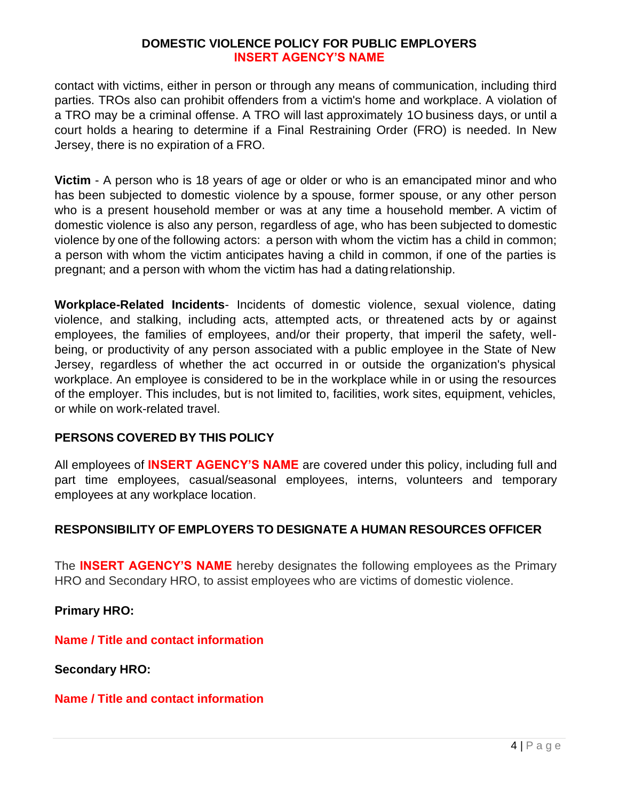contact with victims, either in person or through any means of communication, including third parties. TROs also can prohibit offenders from a victim's home and workplace. A violation of a TRO may be a criminal offense. A TRO will last approximately 1O business days, or until a court holds a hearing to determine if a Final Restraining Order (FRO) is needed. In New Jersey, there is no expiration of a FRO.

**Victim** - A person who is 18 years of age or older or who is an emancipated minor and who has been subjected to domestic violence by a spouse, former spouse, or any other person who is a present household member or was at any time a household member. A victim of domestic violence is also any person, regardless of age, who has been subjected to domestic violence by one of the following actors: a person with whom the victim has a child in common; a person with whom the victim anticipates having a child in common, if one of the parties is pregnant; and a person with whom the victim has had a datingrelationship.

**Workplace-Related Incidents**- Incidents of domestic violence, sexual violence, dating violence, and stalking, including acts, attempted acts, or threatened acts by or against employees, the families of employees, and/or their property, that imperil the safety, wellbeing, or productivity of any person associated with a public employee in the State of New Jersey, regardless of whether the act occurred in or outside the organization's physical workplace. An employee is considered to be in the workplace while in or using the resources of the employer. This includes, but is not limited to, facilities, work sites, equipment, vehicles, or while on work-related travel.

## <span id="page-3-0"></span>**PERSONS COVERED BY THIS POLICY**

All employees of **INSERT AGENCY'S NAME** are covered under this policy, including full and part time employees, casual/seasonal employees, interns, volunteers and temporary employees at any workplace location.

## <span id="page-3-1"></span>**RESPONSIBILITY OF EMPLOYERS TO DESIGNATE A HUMAN RESOURCES OFFICER**

The **INSERT AGENCY'S NAME** hereby designates the following employees as the Primary HRO and Secondary HRO, to assist employees who are victims of domestic violence.

**Primary HRO:**

**Name / Title and contact information**

**Secondary HRO:**

#### **Name / Title and contact information**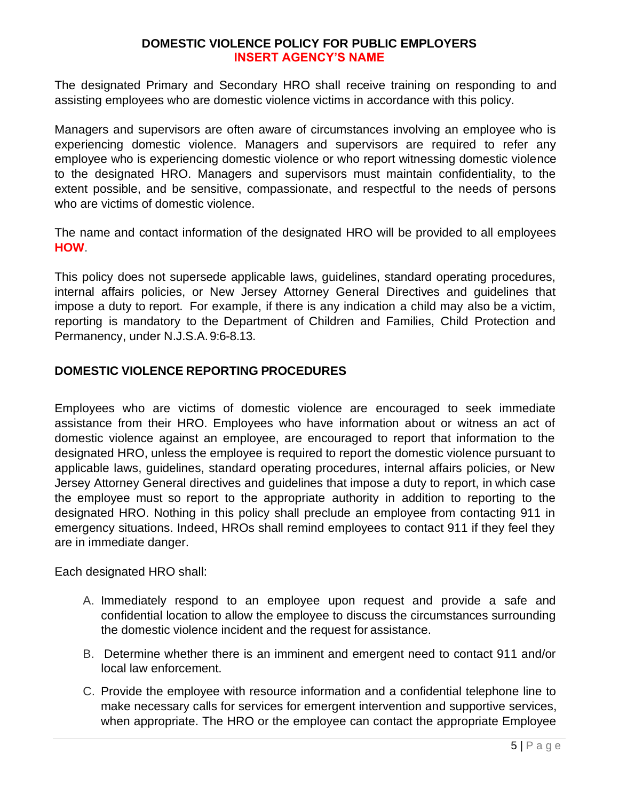The designated Primary and Secondary HRO shall receive training on responding to and assisting employees who are domestic violence victims in accordance with this policy.

Managers and supervisors are often aware of circumstances involving an employee who is experiencing domestic violence. Managers and supervisors are required to refer any employee who is experiencing domestic violence or who report witnessing domestic violence to the designated HRO. Managers and supervisors must maintain confidentiality, to the extent possible, and be sensitive, compassionate, and respectful to the needs of persons who are victims of domestic violence.

The name and contact information of the designated HRO will be provided to all employees **HOW**.

This policy does not supersede applicable laws, guidelines, standard operating procedures, internal affairs policies, or New Jersey Attorney General Directives and guidelines that impose a duty to report. For example, if there is any indication a child may also be a victim, reporting is mandatory to the Department of Children and Families, Child Protection and Permanency, under N.J.S.A.9:6-8.13.

## <span id="page-4-0"></span>**DOMESTIC VIOLENCE REPORTING PROCEDURES**

Employees who are victims of domestic violence are encouraged to seek immediate assistance from their HRO. Employees who have information about or witness an act of domestic violence against an employee, are encouraged to report that information to the designated HRO, unless the employee is required to report the domestic violence pursuant to applicable laws, guidelines, standard operating procedures, internal affairs policies, or New Jersey Attorney General directives and guidelines that impose a duty to report, in which case the employee must so report to the appropriate authority in addition to reporting to the designated HRO. Nothing in this policy shall preclude an employee from contacting 911 in emergency situations. Indeed, HROs shall remind employees to contact 911 if they feel they are in immediate danger.

Each designated HRO shall:

- A. Immediately respond to an employee upon request and provide a safe and confidential location to allow the employee to discuss the circumstances surrounding the domestic violence incident and the request for assistance.
- B. Determine whether there is an imminent and emergent need to contact 911 and/or local law enforcement.
- C. Provide the employee with resource information and a confidential telephone line to make necessary calls for services for emergent intervention and supportive services, when appropriate. The HRO or the employee can contact the appropriate Employee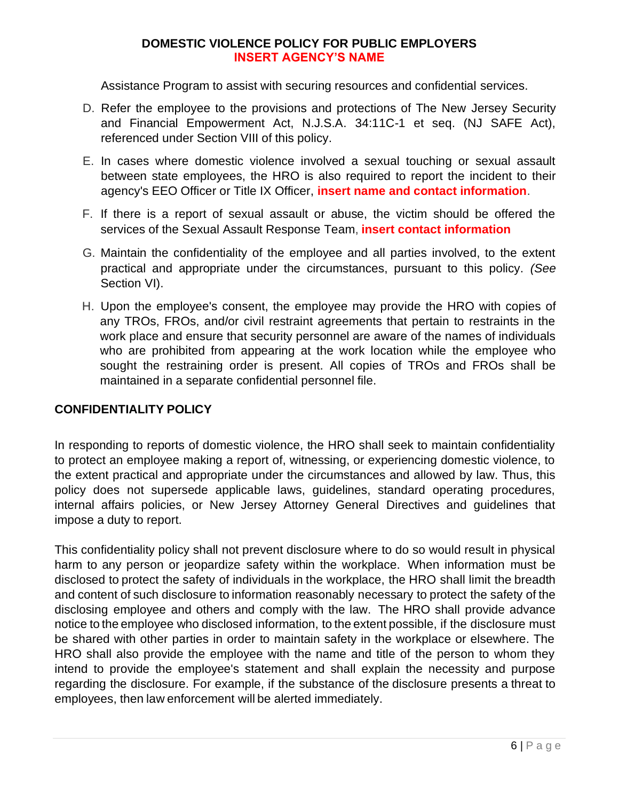Assistance Program to assist with securing resources and confidential services.

- D. Refer the employee to the provisions and protections of The New Jersey Security and Financial Empowerment Act, N.J.S.A. 34:11C-1 et seq. (NJ SAFE Act), referenced under Section VIII of this policy.
- E. In cases where domestic violence involved a sexual touching or sexual assault between state employees, the HRO is also required to report the incident to their agency's EEO Officer or Title IX Officer, **insert name and contact information**.
- F. If there is a report of sexual assault or abuse, the victim should be offered the services of the Sexual Assault Response Team, **insert contact information**
- G. Maintain the confidentiality of the employee and all parties involved, to the extent practical and appropriate under the circumstances, pursuant to this policy. *(See*  Section VI).
- H. Upon the employee's consent, the employee may provide the HRO with copies of any TROs, FROs, and/or civil restraint agreements that pertain to restraints in the work place and ensure that security personnel are aware of the names of individuals who are prohibited from appearing at the work location while the employee who sought the restraining order is present. All copies of TROs and FROs shall be maintained in a separate confidential personnel file.

## <span id="page-5-0"></span>**CONFIDENTIALITY POLICY**

In responding to reports of domestic violence, the HRO shall seek to maintain confidentiality to protect an employee making a report of, witnessing, or experiencing domestic violence, to the extent practical and appropriate under the circumstances and allowed by law. Thus, this policy does not supersede applicable laws, guidelines, standard operating procedures, internal affairs policies, or New Jersey Attorney General Directives and guidelines that impose a duty to report.

This confidentiality policy shall not prevent disclosure where to do so would result in physical harm to any person or jeopardize safety within the workplace. When information must be disclosed to protect the safety of individuals in the workplace, the HRO shall limit the breadth and content of such disclosure to information reasonably necessary to protect the safety of the disclosing employee and others and comply with the law. The HRO shall provide advance notice to the employee who disclosed information, to the extent possible, if the disclosure must be shared with other parties in order to maintain safety in the workplace or elsewhere. The HRO shall also provide the employee with the name and title of the person to whom they intend to provide the employee's statement and shall explain the necessity and purpose regarding the disclosure. For example, if the substance of the disclosure presents a threat to employees, then law enforcement will be alerted immediately.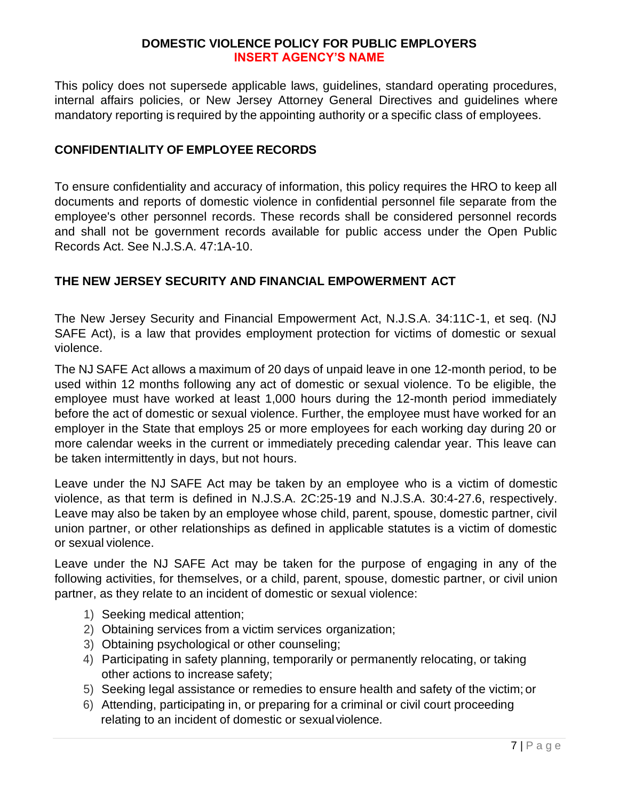This policy does not supersede applicable laws, guidelines, standard operating procedures, internal affairs policies, or New Jersey Attorney General Directives and guidelines where mandatory reporting is required by the appointing authority or a specific class of employees.

## <span id="page-6-0"></span>**CONFIDENTIALITY OF EMPLOYEE RECORDS**

To ensure confidentiality and accuracy of information, this policy requires the HRO to keep all documents and reports of domestic violence in confidential personnel file separate from the employee's other personnel records. These records shall be considered personnel records and shall not be government records available for public access under the Open Public Records Act. See N.J.S.A. 47:1A-10.

## <span id="page-6-1"></span>**THE NEW JERSEY SECURITY AND FINANCIAL EMPOWERMENT ACT**

The New Jersey Security and Financial Empowerment Act, N.J.S.A. 34:11C-1, et seq. (NJ SAFE Act), is a law that provides employment protection for victims of domestic or sexual violence.

The NJ SAFE Act allows a maximum of 20 days of unpaid leave in one 12-month period, to be used within 12 months following any act of domestic or sexual violence. To be eligible, the employee must have worked at least 1,000 hours during the 12-month period immediately before the act of domestic or sexual violence. Further, the employee must have worked for an employer in the State that employs 25 or more employees for each working day during 20 or more calendar weeks in the current or immediately preceding calendar year. This leave can be taken intermittently in days, but not hours.

Leave under the NJ SAFE Act may be taken by an employee who is a victim of domestic violence, as that term is defined in N.J.S.A. 2C:25-19 and N.J.S.A. 30:4-27.6, respectively. Leave may also be taken by an employee whose child, parent, spouse, domestic partner, civil union partner, or other relationships as defined in applicable statutes is a victim of domestic or sexual violence.

Leave under the NJ SAFE Act may be taken for the purpose of engaging in any of the following activities, for themselves, or a child, parent, spouse, domestic partner, or civil union partner, as they relate to an incident of domestic or sexual violence:

- 1) Seeking medical attention;
- 2) Obtaining services from a victim services organization;
- 3) Obtaining psychological or other counseling;
- 4) Participating in safety planning, temporarily or permanently relocating, or taking other actions to increase safety;
- 5) Seeking legal assistance or remedies to ensure health and safety of the victim; or
- 6) Attending, participating in, or preparing for a criminal or civil court proceeding relating to an incident of domestic or sexual violence.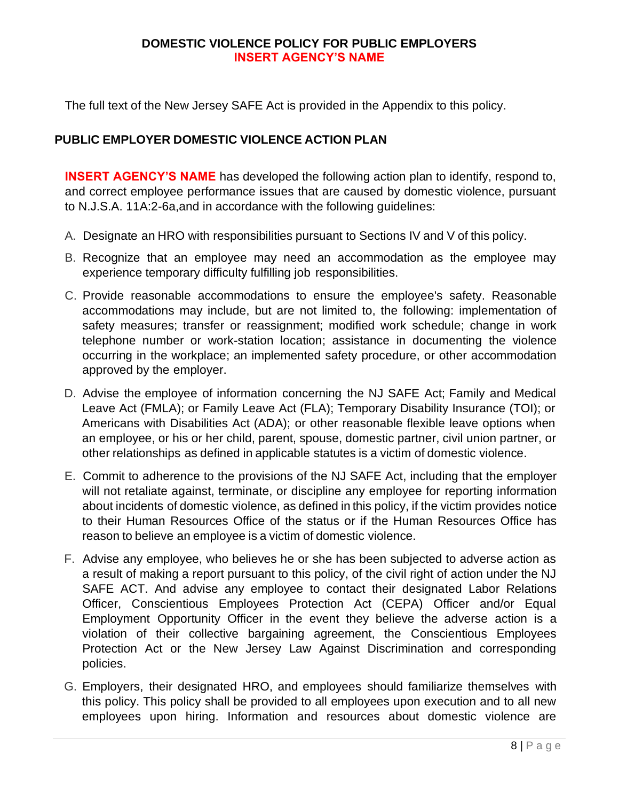The full text of the New Jersey SAFE Act is provided in the Appendix to this policy.

## <span id="page-7-0"></span>**PUBLIC EMPLOYER DOMESTIC VIOLENCE ACTION PLAN**

**INSERT AGENCY'S NAME** has developed the following action plan to identify, respond to, and correct employee performance issues that are caused by domestic violence, pursuant to N.J.S.A. 11A:2-6a,and in accordance with the following guidelines:

- A. Designate an HRO with responsibilities pursuant to Sections IV and V of this policy.
- B. Recognize that an employee may need an accommodation as the employee may experience temporary difficulty fulfilling job responsibilities.
- C. Provide reasonable accommodations to ensure the employee's safety. Reasonable accommodations may include, but are not limited to, the following: implementation of safety measures; transfer or reassignment; modified work schedule; change in work telephone number or work-station location; assistance in documenting the violence occurring in the workplace; an implemented safety procedure, or other accommodation approved by the employer.
- D. Advise the employee of information concerning the NJ SAFE Act; Family and Medical Leave Act (FMLA); or Family Leave Act (FLA); Temporary Disability Insurance (TOI); or Americans with Disabilities Act (ADA); or other reasonable flexible leave options when an employee, or his or her child, parent, spouse, domestic partner, civil union partner, or other relationships as defined in applicable statutes is a victim of domestic violence.
- E. Commit to adherence to the provisions of the NJ SAFE Act, including that the employer will not retaliate against, terminate, or discipline any employee for reporting information about incidents of domestic violence, as defined in this policy, if the victim provides notice to their Human Resources Office of the status or if the Human Resources Office has reason to believe an employee is a victim of domestic violence.
- F. Advise any employee, who believes he or she has been subjected to adverse action as a result of making a report pursuant to this policy, of the civil right of action under the NJ SAFE ACT. And advise any employee to contact their designated Labor Relations Officer, Conscientious Employees Protection Act (CEPA) Officer and/or Equal Employment Opportunity Officer in the event they believe the adverse action is a violation of their collective bargaining agreement, the Conscientious Employees Protection Act or the New Jersey Law Against Discrimination and corresponding policies.
- G. Employers, their designated HRO, and employees should familiarize themselves with this policy. This policy shall be provided to all employees upon execution and to all new employees upon hiring. Information and resources about domestic violence are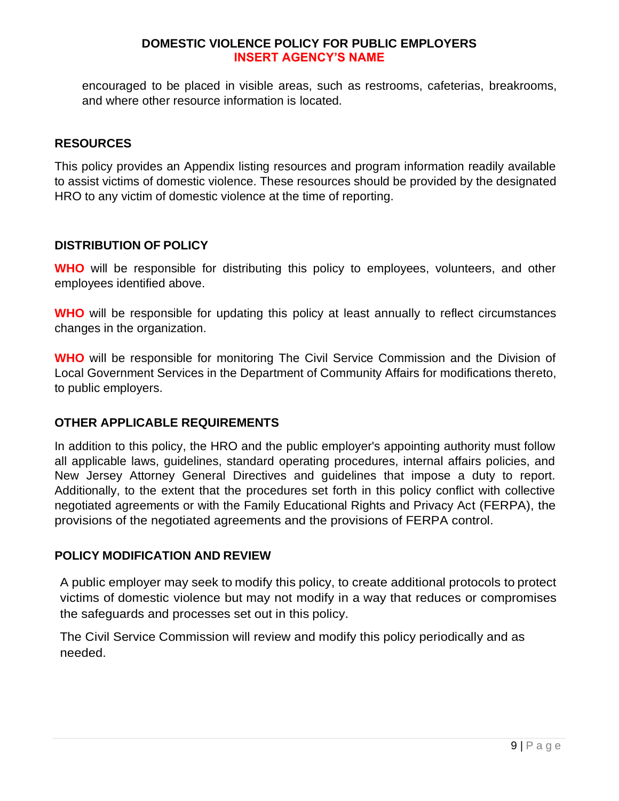encouraged to be placed in visible areas, such as restrooms, cafeterias, breakrooms, and where other resource information is located.

#### <span id="page-8-0"></span>**RESOURCES**

This policy provides an Appendix listing resources and program information readily available to assist victims of domestic violence. These resources should be provided by the designated HRO to any victim of domestic violence at the time of reporting.

#### <span id="page-8-1"></span>**DISTRIBUTION OF POLICY**

**WHO** will be responsible for distributing this policy to employees, volunteers, and other employees identified above.

**WHO** will be responsible for updating this policy at least annually to reflect circumstances changes in the organization.

**WHO** will be responsible for monitoring The Civil Service Commission and the Division of Local Government Services in the Department of Community Affairs for modifications thereto, to public employers.

#### **OTHER APPLICABLE REQUIREMENTS**

In addition to this policy, the HRO and the public employer's appointing authority must follow all applicable laws, guidelines, standard operating procedures, internal affairs policies, and New Jersey Attorney General Directives and guidelines that impose a duty to report. Additionally, to the extent that the procedures set forth in this policy conflict with collective negotiated agreements or with the Family Educational Rights and Privacy Act (FERPA), the provisions of the negotiated agreements and the provisions of FERPA control.

#### <span id="page-8-2"></span>**POLICY MODIFICATION AND REVIEW**

A public employer may seek to modify this policy, to create additional protocols to protect victims of domestic violence but may not modify in a way that reduces or compromises the safeguards and processes set out in this policy.

The Civil Service Commission will review and modify this policy periodically and as needed.